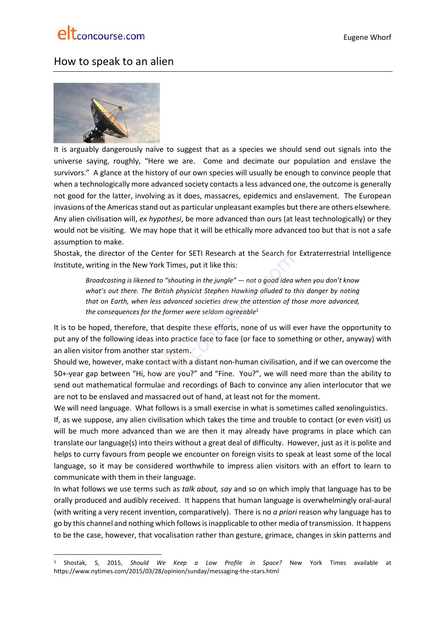

# How to speak to an alien



It is arguably dangerously naïve to suggest that as a species we should send out signals into the universe saying, roughly, "Here we are. Come and decimate our population and enslave the survivors." A glance at the history of our own species will usually be enough to convince people that when a technologically more advanced society contacts a less advanced one, the outcome is generally not good for the latter, involving as it does, massacres, epidemics and enslavement. The European invasions of the Americas stand out as particular unpleasant examples but there are others elsewhere. Any alien civilisation will, *ex hypothesi*, be more advanced than ours (at least technologically) or they would not be visiting. We may hope that it will be ethically more advanced too but that is not a safe assumption to make.

Shostak, the director of the Center for SETI Research at the Search for Extraterrestrial Intelligence Institute, writing in the New York Times, put it like this:

*Broadcasting is likened to "shouting in the jungle" — not a good idea when you don't know what's out there. The British physicist Stephen Hawking alluded to this danger by noting that on Earth, when less advanced societies drew the attention of those more advanced, the consequences for the former were seldom agreeable<sup>1</sup>*

It is to be hoped, therefore, that despite these efforts, none of us will ever have the opportunity to put any of the following ideas into practice face to face (or face to something or other, anyway) with an alien visitor from another star system.

Should we, however, make contact with a distant non-human civilisation, and if we can overcome the 50+-year gap between "Hi, how are you?" and "Fine. You?", we will need more than the ability to send out mathematical formulae and recordings of Bach to convince any alien interlocutor that we are not to be enslaved and massacred out of hand, at least not for the moment.

We will need language. What follows is a small exercise in what is sometimes called xenolinguistics.

If, as we suppose, any alien civilisation which takes the time and trouble to contact (or even visit) us will be much more advanced than we are then it may already have programs in place which can translate our language(s) into theirs without a great deal of difficulty. However, just as it is polite and helps to curry favours from people we encounter on foreign visits to speak at least some of the local language, so it may be considered worthwhile to impress alien visitors with an effort to learn to communicate with them in their language.

In what follows we use terms such as *talk about, say* and so on which imply that language has to be orally produced and audibly received. It happens that human language is overwhelmingly oral-aural (with writing a very recent invention, comparatively). There is no *a priori* reason why language has to go by this channel and nothing which follows is inapplicable to other media of transmission. It happens to be the case, however, that vocalisation rather than gesture, grimace, changes in skin patterns and

<sup>1</sup> Shostak, S, 2015, *Should We Keep a Low Profile in Space?* New York Times available at https://www.nytimes.com/2015/03/28/opinion/sunday/messaging-the-stars.html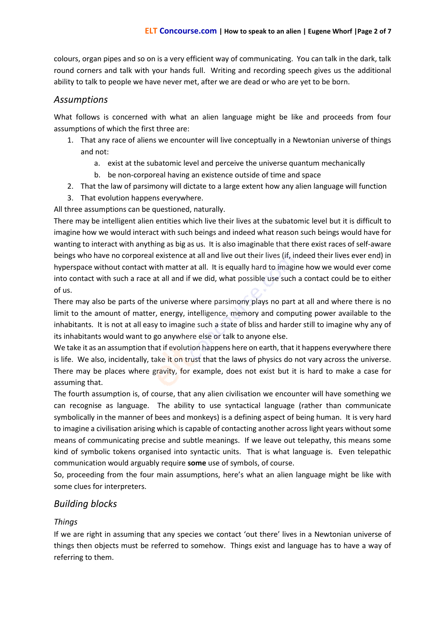colours, organ pipes and so on is a very efficient way of communicating. You can talk in the dark, talk round corners and talk with your hands full. Writing and recording speech gives us the additional ability to talk to people we have never met, after we are dead or who are yet to be born.

# *Assumptions*

What follows is concerned with what an alien language might be like and proceeds from four assumptions of which the first three are:

- 1. That any race of aliens we encounter will live conceptually in a Newtonian universe of things and not:
	- a. exist at the subatomic level and perceive the universe quantum mechanically
	- b. be non-corporeal having an existence outside of time and space
- 2. That the law of parsimony will dictate to a large extent how any alien language will function
- 3. That evolution happens everywhere.

All three assumptions can be questioned, naturally.

There may be intelligent alien entities which live their lives at the subatomic level but it is difficult to imagine how we would interact with such beings and indeed what reason such beings would have for wanting to interact with anything as big as us. It is also imaginable that there exist races of self-aware beings who have no corporeal existence at all and live out their lives (if, indeed their lives ever end) in hyperspace without contact with matter at all. It is equally hard to imagine how we would ever come into contact with such a race at all and if we did, what possible use such a contact could be to either of us.

There may also be parts of the universe where parsimony plays no part at all and where there is no limit to the amount of matter, energy, intelligence, memory and computing power available to the inhabitants. It is not at all easy to imagine such a state of bliss and harder still to imagine why any of its inhabitants would want to go anywhere else or talk to anyone else.

We take it as an assumption that if evolution happens here on earth, that it happens everywhere there is life. We also, incidentally, take it on trust that the laws of physics do not vary across the universe. There may be places where gravity, for example, does not exist but it is hard to make a case for assuming that.

The fourth assumption is, of course, that any alien civilisation we encounter will have something we can recognise as language. The ability to use syntactical language (rather than communicate symbolically in the manner of bees and monkeys) is a defining aspect of being human. It is very hard to imagine a civilisation arising which is capable of contacting another across light years without some means of communicating precise and subtle meanings. If we leave out telepathy, this means some kind of symbolic tokens organised into syntactic units. That is what language is. Even telepathic communication would arguably require **some** use of symbols, of course.

So, proceeding from the four main assumptions, here's what an alien language might be like with some clues for interpreters.

# *Building blocks*

### *Things*

If we are right in assuming that any species we contact 'out there' lives in a Newtonian universe of things then objects must be referred to somehow. Things exist and language has to have a way of referring to them.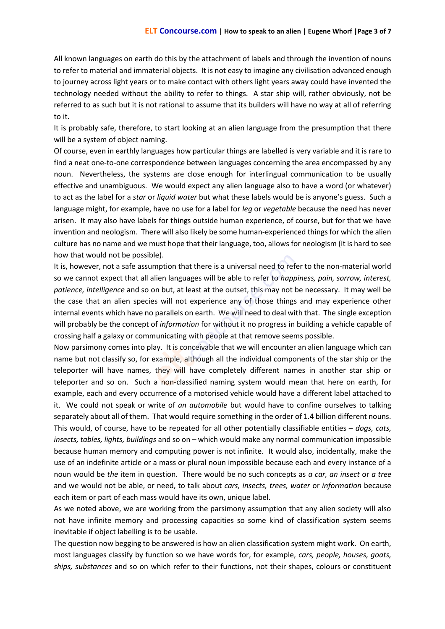All known languages on earth do this by the attachment of labels and through the invention of nouns to refer to material and immaterial objects. It is not easy to imagine any civilisation advanced enough to journey across light years or to make contact with others light years away could have invented the technology needed without the ability to refer to things. A star ship will, rather obviously, not be referred to as such but it is not rational to assume that its builders will have no way at all of referring to it.

It is probably safe, therefore, to start looking at an alien language from the presumption that there will be a system of object naming.

Of course, even in earthly languages how particular things are labelled is very variable and it is rare to find a neat one-to-one correspondence between languages concerning the area encompassed by any noun. Nevertheless, the systems are close enough for interlingual communication to be usually effective and unambiguous. We would expect any alien language also to have a word (or whatever) to act as the label for a *star* or *liquid water* but what these labels would be is anyone's guess. Such a language might, for example, have no use for a label for *leg* or *vegetable* because the need has never arisen. It may also have labels for things outside human experience, of course, but for that we have invention and neologism. There will also likely be some human-experienced things for which the alien culture has no name and we must hope that their language, too, allows for neologism (it is hard to see how that would not be possible).

It is, however, not a safe assumption that there is a universal need to refer to the non-material world so we cannot expect that all alien languages will be able to refer to *happiness, pain, sorrow, interest, patience, intelligence* and so on but, at least at the outset, this may not be necessary. It may well be the case that an alien species will not experience any of those things and may experience other internal events which have no parallels on earth. We will need to deal with that. The single exception will probably be the concept of *information* for without it no progress in building a vehicle capable of crossing half a galaxy or communicating with people at that remove seems possible.

Now parsimony comes into play. It is conceivable that we will encounter an alien language which can name but not classify so, for example, although all the individual components of the star ship or the teleporter will have names, they will have completely different names in another star ship or teleporter and so on. Such a non-classified naming system would mean that here on earth, for example, each and every occurrence of a motorised vehicle would have a different label attached to it. We could not speak or write of *an automobile* but would have to confine ourselves to talking separately about all of them. That would require something in the order of 1.4 billion different nouns. This would, of course, have to be repeated for all other potentially classifiable entities – *dogs, cats, insects, tables, lights, buildings* and so on – which would make any normal communication impossible because human memory and computing power is not infinite. It would also, incidentally, make the use of an indefinite article or a mass or plural noun impossible because each and every instance of a noun would be *the* item in question. There would be no such concepts as *a car, an insect* or *a tree* and we would not be able, or need, to talk about *cars, insects, trees, water* or *information* because each item or part of each mass would have its own, unique label.

As we noted above, we are working from the parsimony assumption that any alien society will also not have infinite memory and processing capacities so some kind of classification system seems inevitable if object labelling is to be usable.

The question now begging to be answered is how an alien classification system might work. On earth, most languages classify by function so we have words for, for example, *cars, people, houses, goats, ships, substances* and so on which refer to their functions, not their shapes, colours or constituent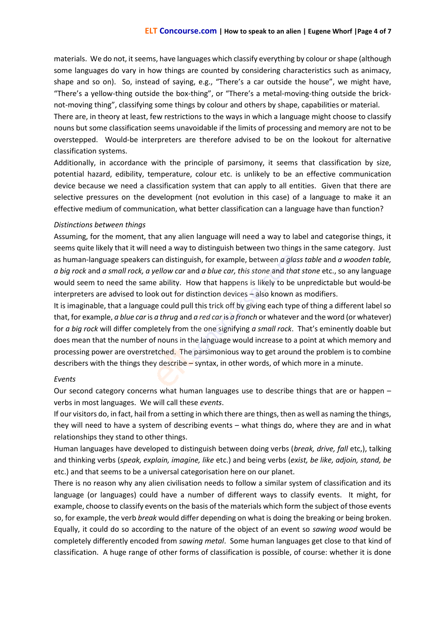materials. We do not, it seems, have languages which classify everything by colour or shape (although some languages do vary in how things are counted by considering characteristics such as animacy, shape and so on). So, instead of saying, e.g., "There's a car outside the house", we might have, "There's a yellow-thing outside the box-thing", or "There's a metal-moving-thing outside the bricknot-moving thing", classifying some things by colour and others by shape, capabilities or material.

There are, in theory at least, few restrictions to the ways in which a language might choose to classify nouns but some classification seems unavoidable if the limits of processing and memory are not to be overstepped. Would-be interpreters are therefore advised to be on the lookout for alternative classification systems.

Additionally, in accordance with the principle of parsimony, it seems that classification by size, potential hazard, edibility, temperature, colour etc. is unlikely to be an effective communication device because we need a classification system that can apply to all entities. Given that there are selective pressures on the development (not evolution in this case) of a language to make it an effective medium of communication, what better classification can a language have than function?

#### *Distinctions between things*

Assuming, for the moment, that any alien language will need a way to label and categorise things, it seems quite likely that it will need a way to distinguish between two things in the same category. Just as human-language speakers can distinguish, for example, between *a glass table* and *a wooden table, a big rock* and *a small rock, a yellow car* and *a blue car, this stone* and *that stone* etc., so any language would seem to need the same ability. How that happens is likely to be unpredictable but would-be interpreters are advised to look out for distinction devices – also known as modifiers.

It is imaginable, that a language could pull this trick off by giving each type of thing a different label so that, for example, *a blue car* is *a thrug* and *a red car* is *a fronch* or whatever and the word (or whatever) for *a big rock* will differ completely from the one signifying *a small rock*. That's eminently doable but does mean that the number of nouns in the language would increase to a point at which memory and processing power are overstretched. The parsimonious way to get around the problem is to combine describers with the things they describe – syntax, in other words, of which more in a minute.

#### *Events*

Our second category concerns what human languages use to describe things that are or happen – verbs in most languages. We will call these *events*.

If our visitors do, in fact, hail from a setting in which there are things, then as well as naming the things, they will need to have a system of describing events – what things do, where they are and in what relationships they stand to other things.

Human languages have developed to distinguish between doing verbs (*break, drive, fall* etc,), talking and thinking verbs (*speak, explain, imagine, like* etc.) and being verbs (*exist, be like, adjoin, stand, be* etc.) and that seems to be a universal categorisation here on our planet.

There is no reason why any alien civilisation needs to follow a similar system of classification and its language (or languages) could have a number of different ways to classify events. It might, for example, choose to classify events on the basis of the materials which form the subject of those events so, for example, the verb *break* would differ depending on what is doing the breaking or being broken. Equally, it could do so according to the nature of the object of an event so *sawing wood* would be completely differently encoded from *sawing metal*. Some human languages get close to that kind of classification. A huge range of other forms of classification is possible, of course: whether it is done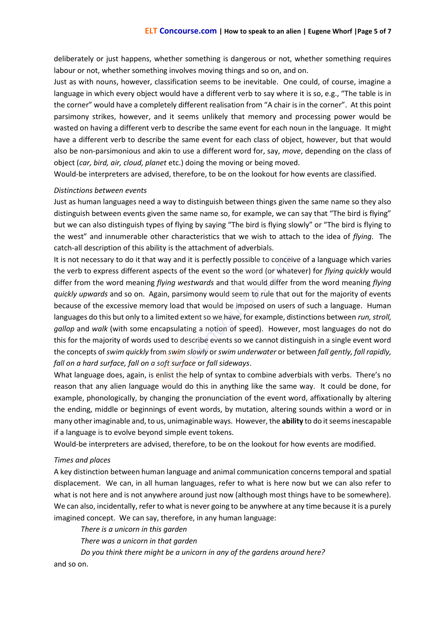deliberately or just happens, whether something is dangerous or not, whether something requires labour or not, whether something involves moving things and so on, and on.

Just as with nouns, however, classification seems to be inevitable. One could, of course, imagine a language in which every object would have a different verb to say where it is so, e.g., "The table is in the corner" would have a completely different realisation from "A chair is in the corner". At this point parsimony strikes, however, and it seems unlikely that memory and processing power would be wasted on having a different verb to describe the same event for each noun in the language. It might have a different verb to describe the same event for each class of object, however, but that would also be non-parsimonious and akin to use a different word for, say, *move*, depending on the class of object (*car, bird, air, cloud, planet* etc.) doing the moving or being moved.

Would-be interpreters are advised, therefore, to be on the lookout for how events are classified.

#### *Distinctions between events*

Just as human languages need a way to distinguish between things given the same name so they also distinguish between events given the same name so, for example, we can say that "The bird is flying" but we can also distinguish types of flying by saying "The bird is flying slowly" or "The bird is flying to the west" and innumerable other characteristics that we wish to attach to the idea of *flying*. The catch-all description of this ability is the attachment of adverbials.

It is not necessary to do it that way and it is perfectly possible to conceive of a language which varies the verb to express different aspects of the event so the word (or whatever) for *flying quickly* would differ from the word meaning *flying westwards* and that would differ from the word meaning *flying quickly upwards* and so on. Again, parsimony would seem to rule that out for the majority of events because of the excessive memory load that would be imposed on users of such a language. Human languages do this but only to a limited extent so we have, for example, distinctions between *run, stroll, gallop* and *walk* (with some encapsulating a notion of speed). However, most languages do not do this for the majority of words used to describe events so we cannot distinguish in a single event word the concepts of*swim quickly* from *swim slowly* or*swim underwater* or between *fall gently, fall rapidly, fall on a hard surface, fall on a soft surface* or *fall sideways*.

What language does, again, is enlist the help of syntax to combine adverbials with verbs. There's no reason that any alien language would do this in anything like the same way. It could be done, for example, phonologically, by changing the pronunciation of the event word, affixationally by altering the ending, middle or beginnings of event words, by mutation, altering sounds within a word or in many other imaginable and, to us, unimaginable ways. However, the **ability** to do it seems inescapable if a language is to evolve beyond simple event tokens.

Would-be interpreters are advised, therefore, to be on the lookout for how events are modified.

#### *Times and places*

A key distinction between human language and animal communication concerns temporal and spatial displacement. We can, in all human languages, refer to what is here now but we can also refer to what is not here and is not anywhere around just now (although most things have to be somewhere). We can also, incidentally, refer to what is never going to be anywhere at any time because it is a purely imagined concept. We can say, therefore, in any human language:

*There is a unicorn in this garden*

*There was a unicorn in that garden*

*Do you think there might be a unicorn in any of the gardens around here?* and so on.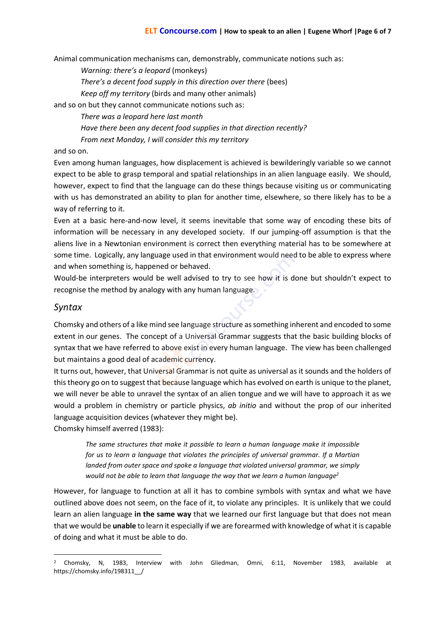Animal communication mechanisms can, demonstrably, communicate notions such as:

*Warning: there's a leopard* (monkeys)

*There's a decent food supply in this direction over there* (bees)

*Keep off my territory* (birds and many other animals)

and so on but they cannot communicate notions such as:

*There was a leopard here last month*

*Have there been any decent food supplies in that direction recently?*

*From next Monday, I will consider this my territory*

and so on.

Even among human languages, how displacement is achieved is bewilderingly variable so we cannot expect to be able to grasp temporal and spatial relationships in an alien language easily. We should, however, expect to find that the language can do these things because visiting us or communicating with us has demonstrated an ability to plan for another time, elsewhere, so there likely has to be a way of referring to it.

Even at a basic here-and-now level, it seems inevitable that some way of encoding these bits of information will be necessary in any developed society. If our jumping-off assumption is that the aliens live in a Newtonian environment is correct then everything material has to be somewhere at some time. Logically, any language used in that environment would need to be able to express where and when something is, happened or behaved.

Would-be interpreters would be well advised to try to see how it is done but shouldn't expect to recognise the method by analogy with any human language.

### *Syntax*

Chomsky and others of a like mind see language structure as something inherent and encoded to some extent in our genes. The concept of a Universal Grammar suggests that the basic building blocks of syntax that we have referred to above exist in every human language. The view has been challenged but maintains a good deal of academic currency.

It turns out, however, that Universal Grammar is not quite as universal as it sounds and the holders of this theory go on to suggest that because language which has evolved on earth is unique to the planet, we will never be able to unravel the syntax of an alien tongue and we will have to approach it as we would a problem in chemistry or particle physics, *ab initio* and without the prop of our inherited language acquisition devices (whatever they might be).

Chomsky himself averred (1983):

*The same structures that make it possible to learn a human language make it impossible for us to learn a language that violates the principles of universal grammar. If a Martian landed from outer space and spoke a language that violated universal grammar, we simply would not be able to learn that language the way that we learn a human language<sup>2</sup>*

However, for language to function at all it has to combine symbols with syntax and what we have outlined above does not seem, on the face of it, to violate any principles. It is unlikely that we could learn an alien language **in the same way** that we learned our first language but that does not mean that we would be **unable** to learn it especially if we are forearmed with knowledge of what it is capable of doing and what it must be able to do.

<sup>2</sup> Chomsky, N, 1983, Interview with John Gliedman, Omni, 6:11, November 1983, available at https://chomsky.info/198311\_\_/